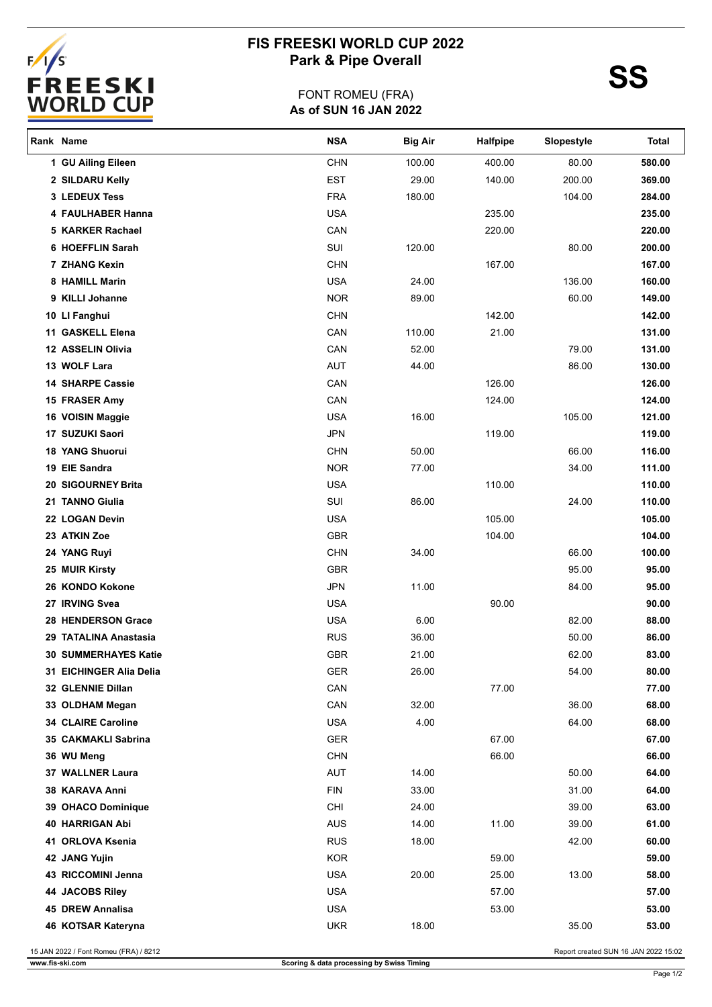

## **FIS FREESKI WORLD CUP 2022** Park & Pipe Overall **SS**

## **As of SUN 16 JAN 2022** FONT ROMEU (FRA)

| Rank Name |                                       | <b>NSA</b> | <b>Big Air</b> | Halfpipe | Slopestyle | Total                                |
|-----------|---------------------------------------|------------|----------------|----------|------------|--------------------------------------|
|           | 1 GU Ailing Eileen                    | <b>CHN</b> | 100.00         | 400.00   | 80.00      | 580.00                               |
|           | 2 SILDARU Kelly                       | <b>EST</b> | 29.00          | 140.00   | 200.00     | 369.00                               |
|           | 3 LEDEUX Tess                         | <b>FRA</b> | 180.00         |          | 104.00     | 284.00                               |
|           | 4 FAULHABER Hanna                     | <b>USA</b> |                | 235.00   |            | 235.00                               |
|           | 5 KARKER Rachael                      | CAN        |                | 220.00   |            | 220.00                               |
|           | 6 HOEFFLIN Sarah                      | SUI        | 120.00         |          | 80.00      | 200.00                               |
|           | 7 ZHANG Kexin                         | <b>CHN</b> |                | 167.00   |            | 167.00                               |
|           | 8 HAMILL Marin                        | <b>USA</b> | 24.00          |          | 136.00     | 160.00                               |
|           | 9 KILLI Johanne                       | <b>NOR</b> | 89.00          |          | 60.00      | 149.00                               |
|           | 10 LI Fanghui                         | <b>CHN</b> |                | 142.00   |            | 142.00                               |
|           | 11 GASKELL Elena                      | CAN        | 110.00         | 21.00    |            | 131.00                               |
|           | 12 ASSELIN Olivia                     | CAN        | 52.00          |          | 79.00      | 131.00                               |
|           | 13 WOLF Lara                          | <b>AUT</b> | 44.00          |          | 86.00      | 130.00                               |
|           | <b>14 SHARPE Cassie</b>               | CAN        |                | 126.00   |            | 126.00                               |
|           | 15 FRASER Amy                         | CAN        |                | 124.00   |            | 124.00                               |
|           | 16 VOISIN Maggie                      | <b>USA</b> | 16.00          |          | 105.00     | 121.00                               |
|           | 17 SUZUKI Saori                       | <b>JPN</b> |                | 119.00   |            | 119.00                               |
|           | <b>18 YANG Shuorui</b>                | <b>CHN</b> | 50.00          |          | 66.00      | 116.00                               |
|           | 19 EIE Sandra                         | <b>NOR</b> | 77.00          |          | 34.00      | 111.00                               |
|           | 20 SIGOURNEY Brita                    | <b>USA</b> |                | 110.00   |            | 110.00                               |
|           | 21 TANNO Giulia                       | SUI        | 86.00          |          | 24.00      | 110.00                               |
|           | 22 LOGAN Devin                        | <b>USA</b> |                | 105.00   |            | 105.00                               |
|           | 23 ATKIN Zoe                          | <b>GBR</b> |                | 104.00   |            | 104.00                               |
|           | 24 YANG Ruyi                          | <b>CHN</b> | 34.00          |          | 66.00      | 100.00                               |
|           | 25 MUIR Kirsty                        | <b>GBR</b> |                |          | 95.00      | 95.00                                |
|           | 26 KONDO Kokone                       | <b>JPN</b> | 11.00          |          | 84.00      | 95.00                                |
|           | 27 IRVING Svea                        | <b>USA</b> |                | 90.00    |            | 90.00                                |
|           | <b>28 HENDERSON Grace</b>             | <b>USA</b> | 6.00           |          | 82.00      | 88.00                                |
|           | 29 TATALINA Anastasia                 | <b>RUS</b> | 36.00          |          | 50.00      | 86.00                                |
|           | <b>30 SUMMERHAYES Katie</b>           | <b>GBR</b> | 21.00          |          | 62.00      | 83.00                                |
|           | 31 EICHINGER Alia Delia               | <b>GER</b> | 26.00          |          | 54.00      | 80.00                                |
|           | 32 GLENNIE Dillan                     | CAN        |                | 77.00    |            | 77.00                                |
|           | 33 OLDHAM Megan                       | CAN        | 32.00          |          | 36.00      | 68.00                                |
|           | 34 CLAIRE Caroline                    | <b>USA</b> | 4.00           |          | 64.00      | 68.00                                |
|           | 35 CAKMAKLI Sabrina                   | <b>GER</b> |                | 67.00    |            | 67.00                                |
|           | 36 WU Meng                            | <b>CHN</b> |                | 66.00    |            | 66.00                                |
|           | 37 WALLNER Laura                      | <b>AUT</b> | 14.00          |          | 50.00      | 64.00                                |
|           | 38 KARAVA Anni                        | <b>FIN</b> | 33.00          |          | 31.00      | 64.00                                |
|           | 39 OHACO Dominique                    | <b>CHI</b> | 24.00          |          | 39.00      | 63.00                                |
|           | 40 HARRIGAN Abi                       | <b>AUS</b> | 14.00          | 11.00    | 39.00      | 61.00                                |
|           | 41 ORLOVA Ksenia                      | <b>RUS</b> | 18.00          |          | 42.00      | 60.00                                |
|           | 42 JANG Yujin                         | <b>KOR</b> |                | 59.00    |            | 59.00                                |
|           | 43 RICCOMINI Jenna                    | <b>USA</b> | 20.00          | 25.00    | 13.00      | 58.00                                |
|           | 44 JACOBS Riley                       | <b>USA</b> |                | 57.00    |            | 57.00                                |
|           | 45 DREW Annalisa                      | <b>USA</b> |                | 53.00    |            | 53.00                                |
|           | 46 KOTSAR Kateryna                    | <b>UKR</b> | 18.00          |          | 35.00      | 53.00                                |
|           | 15 JAN 2022 / Font Romeu (FRA) / 8212 |            |                |          |            | Report created SUN 16 JAN 2022 15:02 |